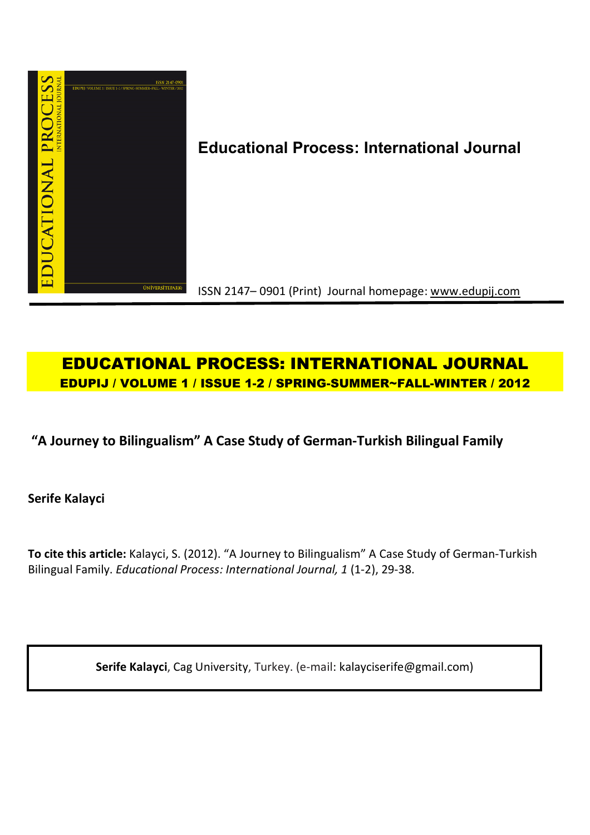

# **Educational Process: International Journal**

ISSN 2147– 0901 (Print) Journal homepage: www.edupij.com

## **EDUCATIONAL PROCESS: INTERNATIONAL JOURNAL EDUPIJ / VOLUME 1 / ISSUE 1-2 / SPRING-SUMMER~FALL-WINTER / 2012**

## **"A Journey to Bilingualism" A Case Study of German-Turkish Bilingual Family**

**Serife Kalayci** 

**To cite this article:** Kalayci, S. (2012). "A Journey to Bilingualism" A Case Study of German-Turkish Bilingual Family. *Educational Process: International Journal, 1* (1-2), 29-38.

**Serife Kalayci**, Cag University, Turkey. (e-mail: kalayciserife@gmail.com)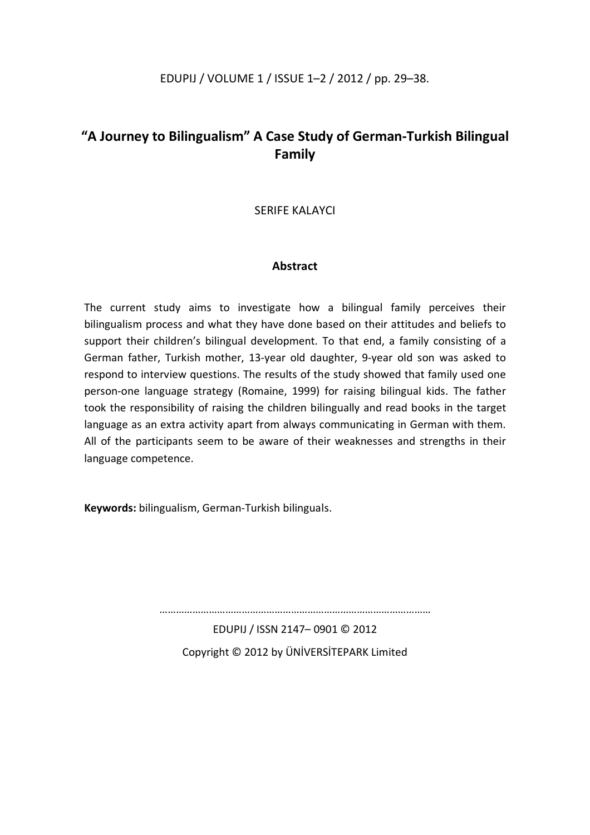## **"A Journey to Bilingualism" A Case Study of German-Turkish Bilingual Family**

#### SERIFE KALAYCI

#### **Abstract**

The current study aims to investigate how a bilingual family perceives their bilingualism process and what they have done based on their attitudes and beliefs to support their children's bilingual development. To that end, a family consisting of a German father, Turkish mother, 13-year old daughter, 9-year old son was asked to respond to interview questions. The results of the study showed that family used one person-one language strategy (Romaine, 1999) for raising bilingual kids. The father took the responsibility of raising the children bilingually and read books in the target language as an extra activity apart from always communicating in German with them. All of the participants seem to be aware of their weaknesses and strengths in their language competence.

**Keywords:** bilingualism, German-Turkish bilinguals.

………………………………………………………………………………………

EDUPIJ / ISSN 2147– 0901 © 2012 Copyright © 2012 by ÜNİVERSİTEPARK Limited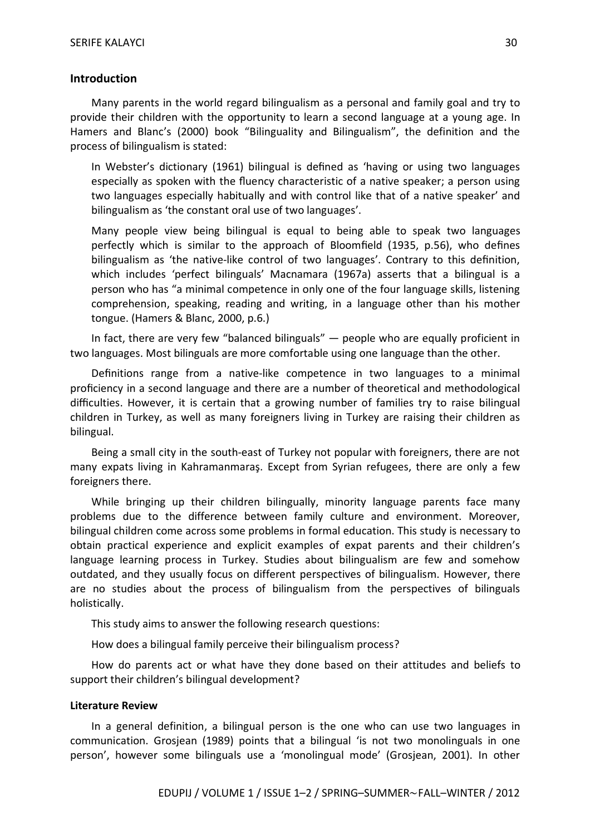#### **Introduction**

Many parents in the world regard bilingualism as a personal and family goal and try to provide their children with the opportunity to learn a second language at a young age. In Hamers and Blanc's (2000) book "Bilinguality and Bilingualism", the definition and the process of bilingualism is stated:

In Webster's dictionary (1961) bilingual is defined as 'having or using two languages especially as spoken with the fluency characteristic of a native speaker; a person using two languages especially habitually and with control like that of a native speaker' and bilingualism as 'the constant oral use of two languages'.

Many people view being bilingual is equal to being able to speak two languages perfectly which is similar to the approach of Bloomfield (1935, p.56), who defines bilingualism as 'the native-like control of two languages'. Contrary to this definition, which includes 'perfect bilinguals' Macnamara (1967a) asserts that a bilingual is a person who has "a minimal competence in only one of the four language skills, listening comprehension, speaking, reading and writing, in a language other than his mother tongue. (Hamers & Blanc, 2000, p.6.)

In fact, there are very few "balanced bilinguals" — people who are equally proficient in two languages. Most bilinguals are more comfortable using one language than the other.

Definitions range from a native-like competence in two languages to a minimal proficiency in a second language and there are a number of theoretical and methodological difficulties. However, it is certain that a growing number of families try to raise bilingual children in Turkey, as well as many foreigners living in Turkey are raising their children as bilingual.

Being a small city in the south-east of Turkey not popular with foreigners, there are not many expats living in Kahramanmaraş. Except from Syrian refugees, there are only a few foreigners there.

While bringing up their children bilingually, minority language parents face many problems due to the difference between family culture and environment. Moreover, bilingual children come across some problems in formal education. This study is necessary to obtain practical experience and explicit examples of expat parents and their children's language learning process in Turkey. Studies about bilingualism are few and somehow outdated, and they usually focus on different perspectives of bilingualism. However, there are no studies about the process of bilingualism from the perspectives of bilinguals holistically.

This study aims to answer the following research questions:

How does a bilingual family perceive their bilingualism process?

How do parents act or what have they done based on their attitudes and beliefs to support their children's bilingual development?

#### **Literature Review**

In a general definition, a bilingual person is the one who can use two languages in communication. Grosjean (1989) points that a bilingual 'is not two monolinguals in one person', however some bilinguals use a 'monolingual mode' (Grosjean, 2001). In other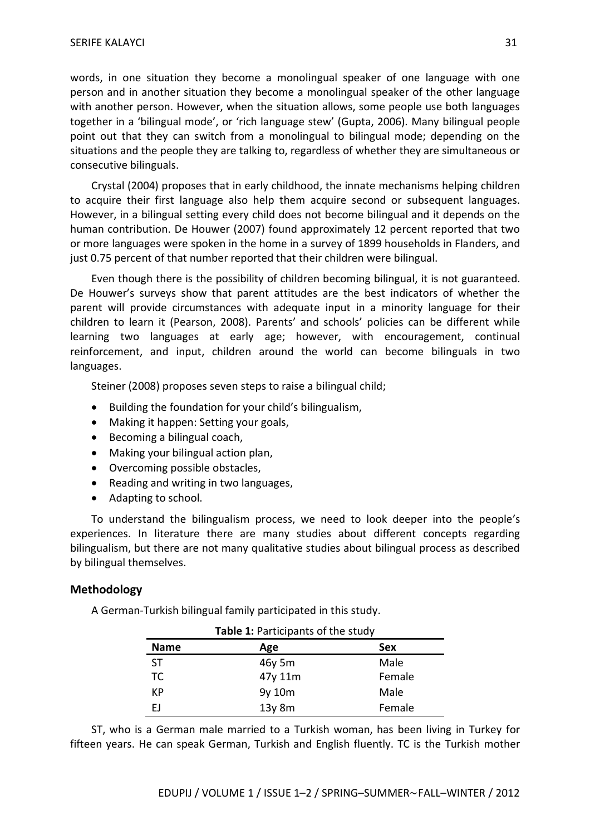words, in one situation they become a monolingual speaker of one language with one person and in another situation they become a monolingual speaker of the other language with another person. However, when the situation allows, some people use both languages together in a 'bilingual mode', or 'rich language stew' (Gupta, 2006). Many bilingual people point out that they can switch from a monolingual to bilingual mode; depending on the situations and the people they are talking to, regardless of whether they are simultaneous or consecutive bilinguals.

Crystal (2004) proposes that in early childhood, the innate mechanisms helping children to acquire their first language also help them acquire second or subsequent languages. However, in a bilingual setting every child does not become bilingual and it depends on the human contribution. De Houwer (2007) found approximately 12 percent reported that two or more languages were spoken in the home in a survey of 1899 households in Flanders, and just 0.75 percent of that number reported that their children were bilingual.

Even though there is the possibility of children becoming bilingual, it is not guaranteed. De Houwer's surveys show that parent attitudes are the best indicators of whether the parent will provide circumstances with adequate input in a minority language for their children to learn it (Pearson, 2008). Parents' and schools' policies can be different while learning two languages at early age; however, with encouragement, continual reinforcement, and input, children around the world can become bilinguals in two languages.

Steiner (2008) proposes seven steps to raise a bilingual child;

- Building the foundation for your child's bilingualism,
- Making it happen: Setting your goals,
- Becoming a bilingual coach,
- Making your bilingual action plan,
- Overcoming possible obstacles,
- Reading and writing in two languages,
- Adapting to school.

To understand the bilingualism process, we need to look deeper into the people's experiences. In literature there are many studies about different concepts regarding bilingualism, but there are not many qualitative studies about bilingual process as described by bilingual themselves.

#### **Methodology**

A German-Turkish bilingual family participated in this study.

| Table 1: Participants of the study |             |        |
|------------------------------------|-------------|--------|
| <b>Name</b>                        | Age         | Sex    |
| ST                                 | 46y 5m      | Male   |
| ТC                                 | 47y 11m     | Female |
| КP                                 | 9y 10m      | Male   |
| FΙ                                 | $13y$ 8 $m$ | Female |

ST, who is a German male married to a Turkish woman, has been living in Turkey for fifteen years. He can speak German, Turkish and English fluently. TC is the Turkish mother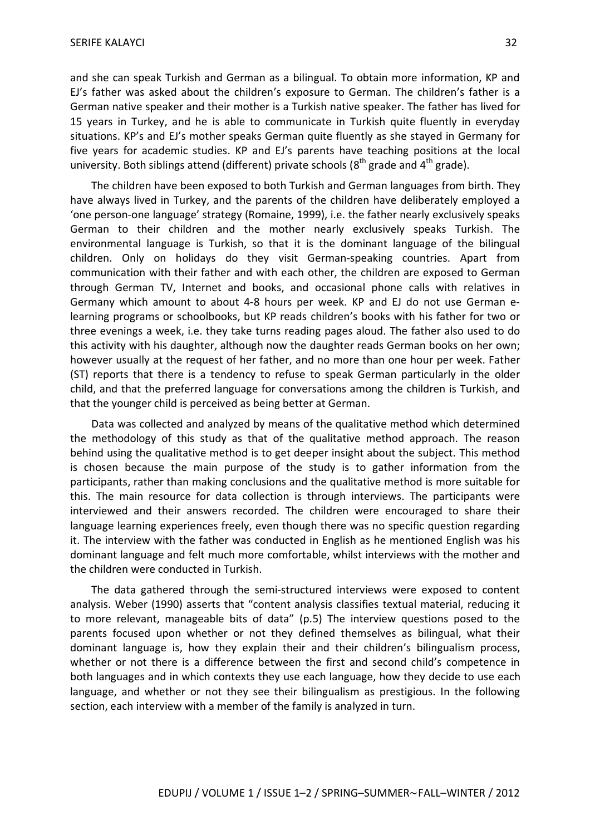and she can speak Turkish and German as a bilingual. To obtain more information, KP and EJ's father was asked about the children's exposure to German. The children's father is a German native speaker and their mother is a Turkish native speaker. The father has lived for 15 years in Turkey, and he is able to communicate in Turkish quite fluently in everyday situations. KP's and EJ's mother speaks German quite fluently as she stayed in Germany for five years for academic studies. KP and EJ's parents have teaching positions at the local university. Both siblings attend (different) private schools ( $8<sup>th</sup>$  grade and  $4<sup>th</sup>$  grade).

The children have been exposed to both Turkish and German languages from birth. They have always lived in Turkey, and the parents of the children have deliberately employed a 'one person-one language' strategy (Romaine, 1999), i.e. the father nearly exclusively speaks German to their children and the mother nearly exclusively speaks Turkish. The environmental language is Turkish, so that it is the dominant language of the bilingual children. Only on holidays do they visit German-speaking countries. Apart from communication with their father and with each other, the children are exposed to German through German TV, Internet and books, and occasional phone calls with relatives in Germany which amount to about 4-8 hours per week. KP and EJ do not use German elearning programs or schoolbooks, but KP reads children's books with his father for two or three evenings a week, i.e. they take turns reading pages aloud. The father also used to do this activity with his daughter, although now the daughter reads German books on her own; however usually at the request of her father, and no more than one hour per week. Father (ST) reports that there is a tendency to refuse to speak German particularly in the older child, and that the preferred language for conversations among the children is Turkish, and that the younger child is perceived as being better at German.

Data was collected and analyzed by means of the qualitative method which determined the methodology of this study as that of the qualitative method approach. The reason behind using the qualitative method is to get deeper insight about the subject. This method is chosen because the main purpose of the study is to gather information from the participants, rather than making conclusions and the qualitative method is more suitable for this. The main resource for data collection is through interviews. The participants were interviewed and their answers recorded. The children were encouraged to share their language learning experiences freely, even though there was no specific question regarding it. The interview with the father was conducted in English as he mentioned English was his dominant language and felt much more comfortable, whilst interviews with the mother and the children were conducted in Turkish.

The data gathered through the semi-structured interviews were exposed to content analysis. Weber (1990) asserts that "content analysis classifies textual material, reducing it to more relevant, manageable bits of data" (p.5) The interview questions posed to the parents focused upon whether or not they defined themselves as bilingual, what their dominant language is, how they explain their and their children's bilingualism process, whether or not there is a difference between the first and second child's competence in both languages and in which contexts they use each language, how they decide to use each language, and whether or not they see their bilingualism as prestigious. In the following section, each interview with a member of the family is analyzed in turn.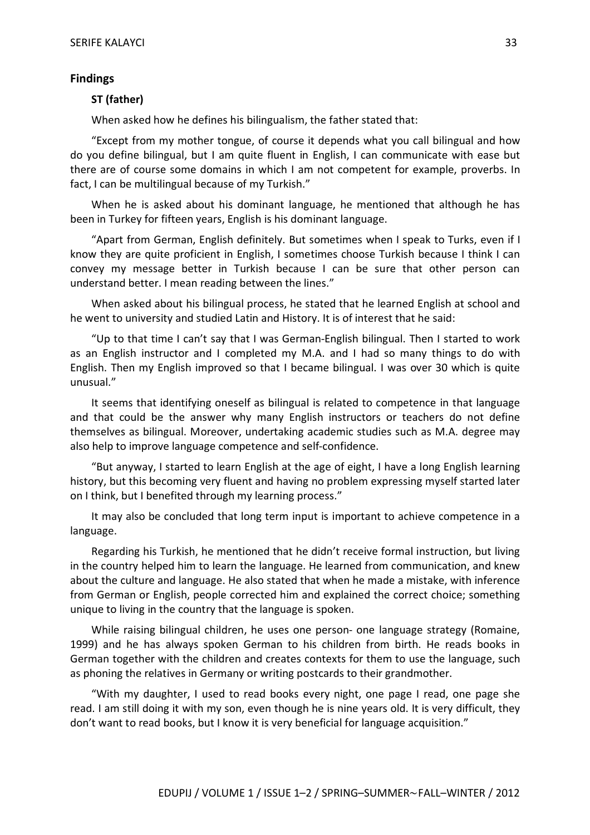#### **Findings**

#### **ST (father)**

When asked how he defines his bilingualism, the father stated that:

"Except from my mother tongue, of course it depends what you call bilingual and how do you define bilingual, but I am quite fluent in English, I can communicate with ease but there are of course some domains in which I am not competent for example, proverbs. In fact, I can be multilingual because of my Turkish."

When he is asked about his dominant language, he mentioned that although he has been in Turkey for fifteen years, English is his dominant language.

"Apart from German, English definitely. But sometimes when I speak to Turks, even if I know they are quite proficient in English, I sometimes choose Turkish because I think I can convey my message better in Turkish because I can be sure that other person can understand better. I mean reading between the lines."

When asked about his bilingual process, he stated that he learned English at school and he went to university and studied Latin and History. It is of interest that he said:

"Up to that time I can't say that I was German-English bilingual. Then I started to work as an English instructor and I completed my M.A. and I had so many things to do with English. Then my English improved so that I became bilingual. I was over 30 which is quite unusual."

It seems that identifying oneself as bilingual is related to competence in that language and that could be the answer why many English instructors or teachers do not define themselves as bilingual. Moreover, undertaking academic studies such as M.A. degree may also help to improve language competence and self-confidence.

"But anyway, I started to learn English at the age of eight, I have a long English learning history, but this becoming very fluent and having no problem expressing myself started later on I think, but I benefited through my learning process."

It may also be concluded that long term input is important to achieve competence in a language.

Regarding his Turkish, he mentioned that he didn't receive formal instruction, but living in the country helped him to learn the language. He learned from communication, and knew about the culture and language. He also stated that when he made a mistake, with inference from German or English, people corrected him and explained the correct choice; something unique to living in the country that the language is spoken.

While raising bilingual children, he uses one person- one language strategy (Romaine, 1999) and he has always spoken German to his children from birth. He reads books in German together with the children and creates contexts for them to use the language, such as phoning the relatives in Germany or writing postcards to their grandmother.

"With my daughter, I used to read books every night, one page I read, one page she read. I am still doing it with my son, even though he is nine years old. It is very difficult, they don't want to read books, but I know it is very beneficial for language acquisition."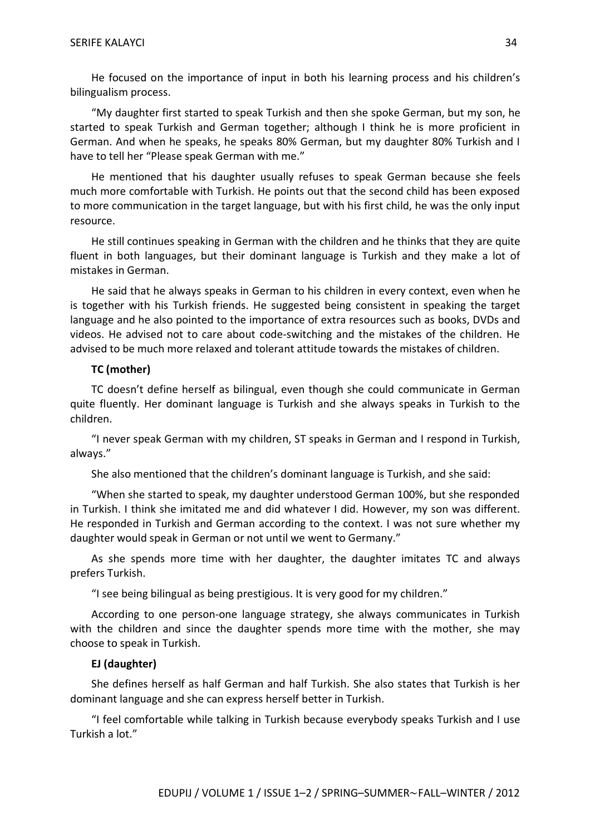He focused on the importance of input in both his learning process and his children's bilingualism process.

"My daughter first started to speak Turkish and then she spoke German, but my son, he started to speak Turkish and German together; although I think he is more proficient in German. And when he speaks, he speaks 80% German, but my daughter 80% Turkish and I have to tell her "Please speak German with me."

He mentioned that his daughter usually refuses to speak German because she feels much more comfortable with Turkish. He points out that the second child has been exposed to more communication in the target language, but with his first child, he was the only input resource.

He still continues speaking in German with the children and he thinks that they are quite fluent in both languages, but their dominant language is Turkish and they make a lot of mistakes in German.

He said that he always speaks in German to his children in every context, even when he is together with his Turkish friends. He suggested being consistent in speaking the target language and he also pointed to the importance of extra resources such as books, DVDs and videos. He advised not to care about code-switching and the mistakes of the children. He advised to be much more relaxed and tolerant attitude towards the mistakes of children.

#### **TC (mother)**

TC doesn't define herself as bilingual, even though she could communicate in German quite fluently. Her dominant language is Turkish and she always speaks in Turkish to the children.

"I never speak German with my children, ST speaks in German and I respond in Turkish, always."

She also mentioned that the children's dominant language is Turkish, and she said:

"When she started to speak, my daughter understood German 100%, but she responded in Turkish. I think she imitated me and did whatever I did. However, my son was different. He responded in Turkish and German according to the context. I was not sure whether my daughter would speak in German or not until we went to Germany."

As she spends more time with her daughter, the daughter imitates TC and always prefers Turkish.

"I see being bilingual as being prestigious. It is very good for my children."

According to one person-one language strategy, she always communicates in Turkish with the children and since the daughter spends more time with the mother, she may choose to speak in Turkish.

#### **EJ (daughter)**

She defines herself as half German and half Turkish. She also states that Turkish is her dominant language and she can express herself better in Turkish.

"I feel comfortable while talking in Turkish because everybody speaks Turkish and I use Turkish a lot."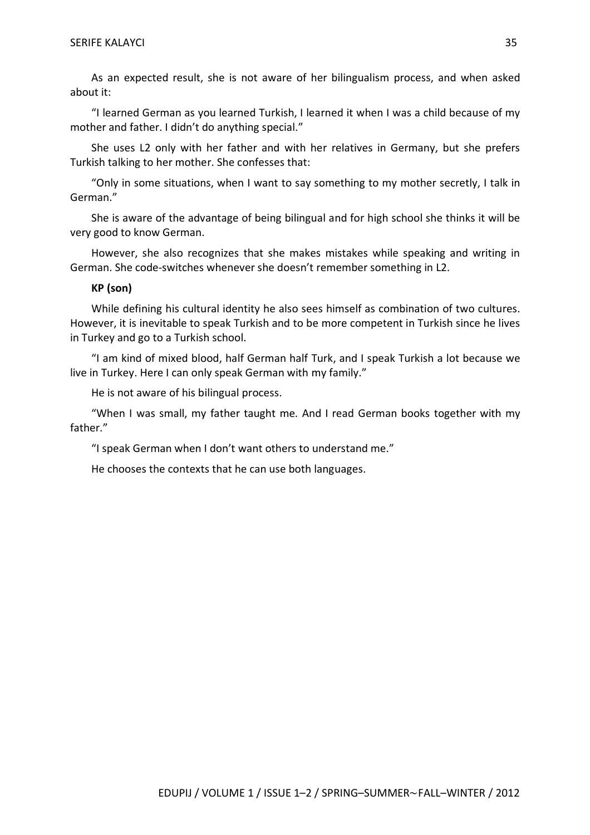As an expected result, she is not aware of her bilingualism process, and when asked about it:

"I learned German as you learned Turkish, I learned it when I was a child because of my mother and father. I didn't do anything special."

She uses L2 only with her father and with her relatives in Germany, but she prefers Turkish talking to her mother. She confesses that:

"Only in some situations, when I want to say something to my mother secretly, I talk in German."

She is aware of the advantage of being bilingual and for high school she thinks it will be very good to know German.

However, she also recognizes that she makes mistakes while speaking and writing in German. She code-switches whenever she doesn't remember something in L2.

#### **KP (son)**

While defining his cultural identity he also sees himself as combination of two cultures. However, it is inevitable to speak Turkish and to be more competent in Turkish since he lives in Turkey and go to a Turkish school.

"I am kind of mixed blood, half German half Turk, and I speak Turkish a lot because we live in Turkey. Here I can only speak German with my family."

He is not aware of his bilingual process.

"When I was small, my father taught me. And I read German books together with my father."

"I speak German when I don't want others to understand me."

He chooses the contexts that he can use both languages.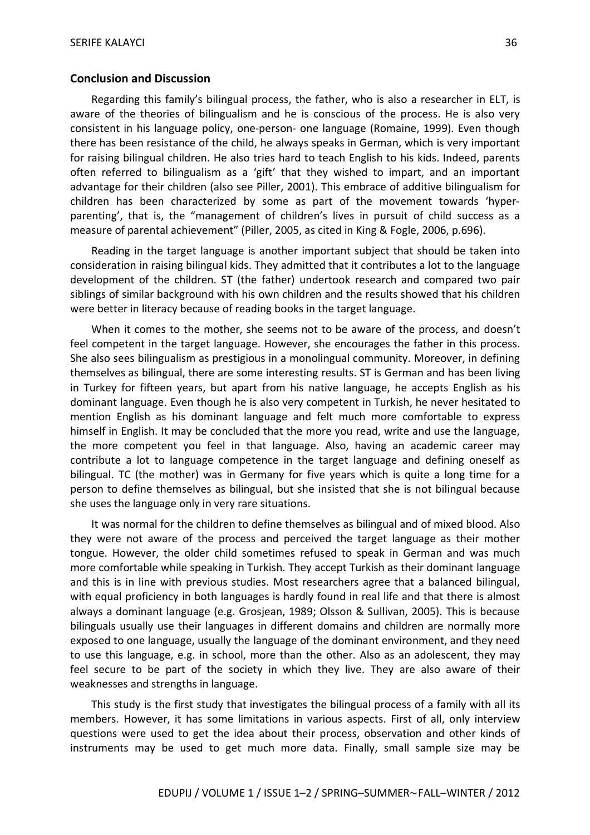#### **Conclusion and Discussion**

Regarding this family's bilingual process, the father, who is also a researcher in ELT, is aware of the theories of bilingualism and he is conscious of the process. He is also very consistent in his language policy, one-person- one language (Romaine, 1999). Even though there has been resistance of the child, he always speaks in German, which is very important for raising bilingual children. He also tries hard to teach English to his kids. Indeed, parents often referred to bilingualism as a 'gift' that they wished to impart, and an important advantage for their children (also see Piller, 2001). This embrace of additive bilingualism for children has been characterized by some as part of the movement towards 'hyperparenting', that is, the "management of children's lives in pursuit of child success as a measure of parental achievement" (Piller, 2005, as cited in King & Fogle, 2006, p.696).

Reading in the target language is another important subject that should be taken into consideration in raising bilingual kids. They admitted that it contributes a lot to the language development of the children. ST (the father) undertook research and compared two pair siblings of similar background with his own children and the results showed that his children were better in literacy because of reading books in the target language.

When it comes to the mother, she seems not to be aware of the process, and doesn't feel competent in the target language. However, she encourages the father in this process. She also sees bilingualism as prestigious in a monolingual community. Moreover, in defining themselves as bilingual, there are some interesting results. ST is German and has been living in Turkey for fifteen years, but apart from his native language, he accepts English as his dominant language. Even though he is also very competent in Turkish, he never hesitated to mention English as his dominant language and felt much more comfortable to express himself in English. It may be concluded that the more you read, write and use the language, the more competent you feel in that language. Also, having an academic career may contribute a lot to language competence in the target language and defining oneself as bilingual. TC (the mother) was in Germany for five years which is quite a long time for a person to define themselves as bilingual, but she insisted that she is not bilingual because she uses the language only in very rare situations.

It was normal for the children to define themselves as bilingual and of mixed blood. Also they were not aware of the process and perceived the target language as their mother tongue. However, the older child sometimes refused to speak in German and was much more comfortable while speaking in Turkish. They accept Turkish as their dominant language and this is in line with previous studies. Most researchers agree that a balanced bilingual, with equal proficiency in both languages is hardly found in real life and that there is almost always a dominant language (e.g. Grosjean, 1989; Olsson & Sullivan, 2005). This is because bilinguals usually use their languages in different domains and children are normally more exposed to one language, usually the language of the dominant environment, and they need to use this language, e.g. in school, more than the other. Also as an adolescent, they may feel secure to be part of the society in which they live. They are also aware of their weaknesses and strengths in language.

This study is the first study that investigates the bilingual process of a family with all its members. However, it has some limitations in various aspects. First of all, only interview questions were used to get the idea about their process, observation and other kinds of instruments may be used to get much more data. Finally, small sample size may be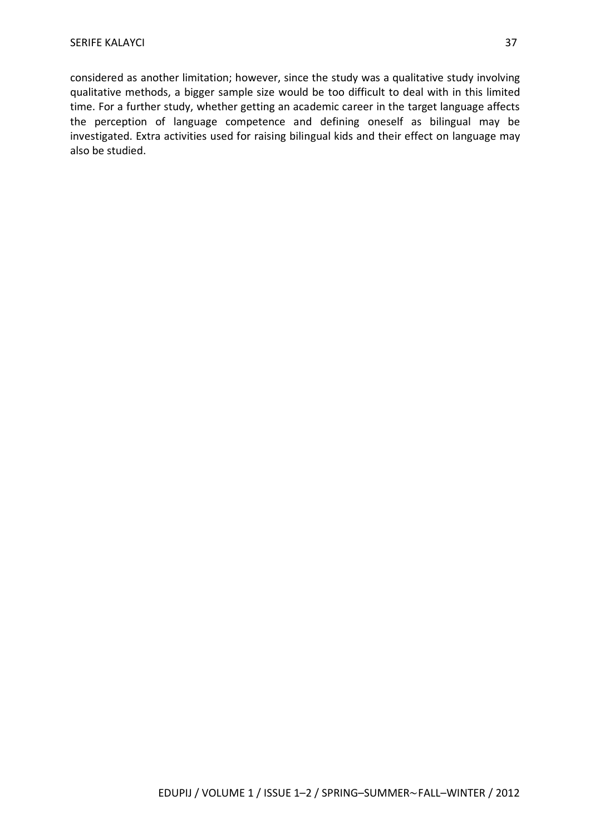considered as another limitation; however, since the study was a qualitative study involving qualitative methods, a bigger sample size would be too difficult to deal with in this limited time. For a further study, whether getting an academic career in the target language affects the perception of language competence and defining oneself as bilingual may be investigated. Extra activities used for raising bilingual kids and their effect on language may also be studied.